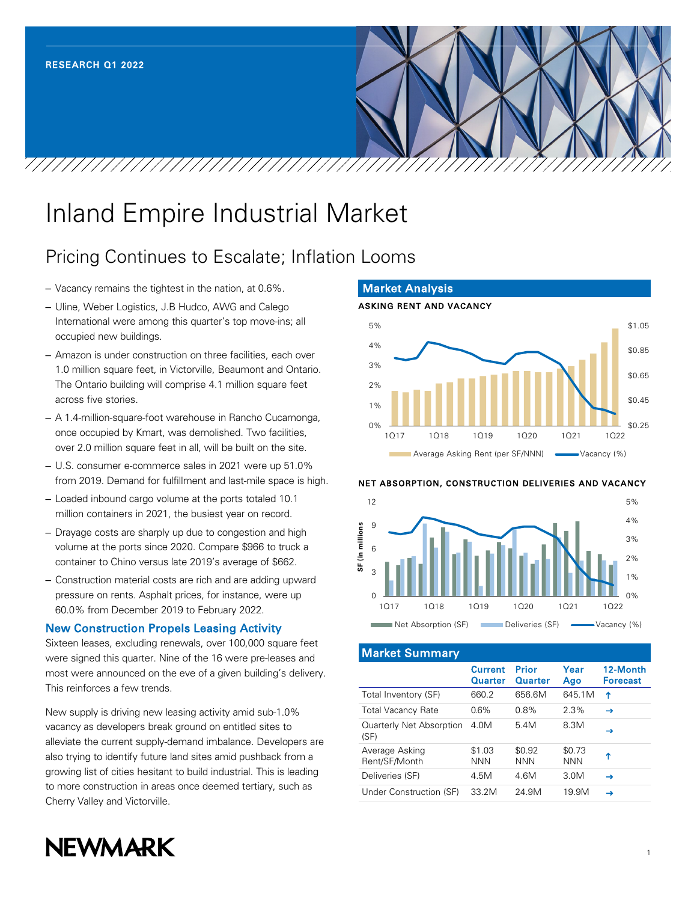# Inland Empire Industrial Market

## Pricing Continues to Escalate; Inflation Looms

- Vacancy remains the tightest in the nation, at 0.6%.
- Uline, Weber Logistics, J.B Hudco, AWG and Calego International were among this quarter's top move-ins; all occupied new buildings.
- Amazon is under construction on three facilities, each over 1.0 million square feet, in Victorville, Beaumont and Ontario. The Ontario building will comprise 4.1 million square feet across five stories.
- A 1.4-million-square-foot warehouse in Rancho Cucamonga, once occupied by Kmart, was demolished. Two facilities, over 2.0 million square feet in all, will be built on the site.
- U.S. consumer e-commerce sales in 2021 were up 51.0% from 2019. Demand for fulfillment and last-mile space is high.
- Loaded inbound cargo volume at the ports totaled 10.1 million containers in 2021, the busiest year on record.
- Drayage costs are sharply up due to congestion and high volume at the ports since 2020. Compare \$966 to truck a container to Chino versus late 2019's average of \$662.
- Construction material costs are rich and are adding upward pressure on rents. Asphalt prices, for instance, were up 60.0% from December 2019 to February 2022.

#### New Construction Propels Leasing Activity

Sixteen leases, excluding renewals, over 100,000 square feet were signed this quarter. Nine of the 16 were pre-leases and most were announced on the eve of a given building's delivery. This reinforces a few trends.

New supply is driving new leasing activity amid sub-1.0% vacancy as developers break ground on entitled sites to alleviate the current supply-demand imbalance. Developers are also trying to identify future land sites amid pushback from a growing list of cities hesitant to build industrial. This is leading to more construction in areas once deemed tertiary, such as Cherry Valley and Victorville.





#### NET ABSORPTION, CONSTRUCTION DELIVERIES AND VACANCY



Market Summary

|                                  | <b>Current</b><br>Quarter | Prior<br>Quarter     | Year<br>Ago          | 12-Month<br><b>Forecast</b> |
|----------------------------------|---------------------------|----------------------|----------------------|-----------------------------|
| Total Inventory (SF)             | 660.2                     | 656.6M               | 645.1M               | ↑                           |
| <b>Total Vacancy Rate</b>        | $0.6\%$                   | $0.8\%$              | 2.3%                 | $\rightarrow$               |
| Quarterly Net Absorption<br>(SF) | 4.0M                      | 5.4M                 | 8.3M                 | →                           |
| Average Asking<br>Rent/SF/Month  | \$1.03<br><b>NNN</b>      | \$0.92<br><b>NNN</b> | \$0.73<br><b>NNN</b> | ↑                           |
| Deliveries (SF)                  | 4.5M                      | 4.6M                 | 3.0M                 | →                           |
| Under Construction (SF)          | 33.2M                     | 24.9M                | 19.9M                | →                           |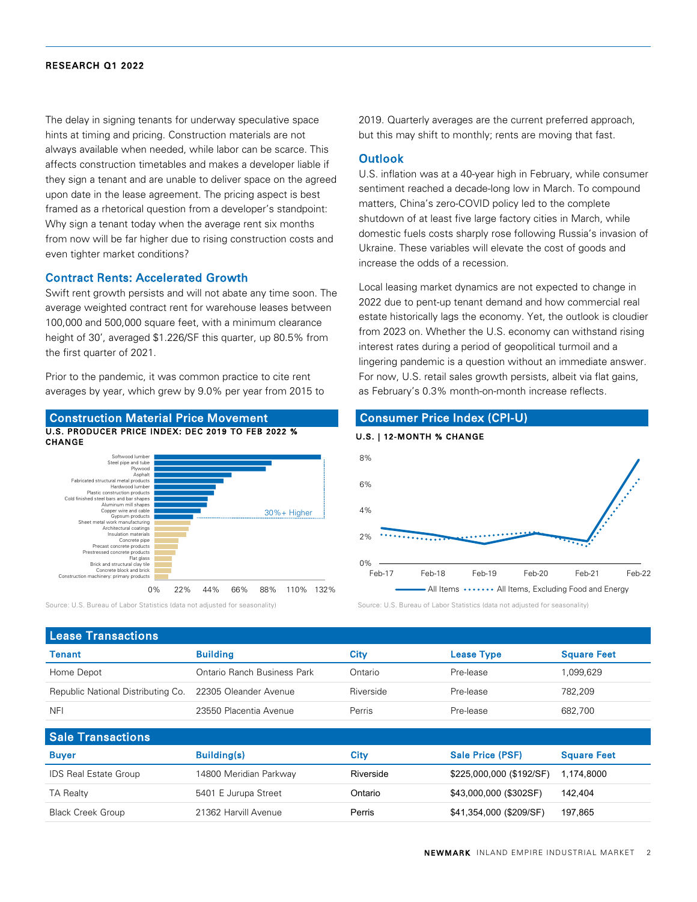#### RESEARCH Q1 2022

The delay in signing tenants for underway speculative space hints at timing and pricing. Construction materials are not always available when needed, while labor can be scarce. This affects construction timetables and makes a developer liable if they sign a tenant and are unable to deliver space on the agreed upon date in the lease agreement. The pricing aspect is best framed as a rhetorical question from a developer's standpoint: Why sign a tenant today when the average rent six months from now will be far higher due to rising construction costs and even tighter market conditions?

#### Contract Rents: Accelerated Growth

Swift rent growth persists and will not abate any time soon. The average weighted contract rent for warehouse leases between 100,000 and 500,000 square feet, with a minimum clearance height of 30', averaged \$1.226/SF this quarter, up 80.5% from the first quarter of 2021.

Prior to the pandemic, it was common practice to cite rent averages by year, which grew by 9.0% per year from 2015 to



Source: U.S. Bureau of Labor Statistics (data not adjusted for seasonality) Source: U.S. Bureau of Labor Statistics (data not adjusted for seasonality)

2019. Quarterly averages are the current preferred approach, but this may shift to monthly; rents are moving that fast.

#### **Outlook**

U.S. inflation was at a 40-year high in February, while consumer sentiment reached a decade-long low in March. To compound matters, China's zero-COVID policy led to the complete shutdown of at least five large factory cities in March, while domestic fuels costs sharply rose following Russia's invasion of Ukraine. These variables will elevate the cost of goods and increase the odds of a recession.

Local leasing market dynamics are not expected to change in 2022 due to pent-up tenant demand and how commercial real estate historically lags the economy. Yet, the outlook is cloudier from 2023 on. Whether the U.S. economy can withstand rising interest rates during a period of geopolitical turmoil and a lingering pandemic is a question without an immediate answer. For now, U.S. retail sales growth persists, albeit via flat gains, as February's 0.3% month-on-month increase reflects.

### Consumer Price Index (CPI-U)





| <b>Lease Transactions</b>                                |                             |           |                   |                    |  |  |
|----------------------------------------------------------|-----------------------------|-----------|-------------------|--------------------|--|--|
| <b>Tenant</b>                                            | <b>Building</b>             | Citv      | <b>Lease Type</b> | <b>Square Feet</b> |  |  |
| Home Depot                                               | Ontario Ranch Business Park | Ontario   | Pre-lease         | 099.629            |  |  |
| Republic National Distributing Co. 22305 Oleander Avenue |                             | Riverside | Pre-lease         | 782.209            |  |  |
| <b>NFI</b>                                               | 23550 Placentia Avenue      | Perris    | Pre-lease         | 682,700            |  |  |

| <b>Sale Transactions</b>     |                        |           |                          |                    |  |  |
|------------------------------|------------------------|-----------|--------------------------|--------------------|--|--|
| <b>Buyer</b>                 | <b>Building(s)</b>     | City      | <b>Sale Price (PSF)</b>  | <b>Square Feet</b> |  |  |
| <b>IDS Real Estate Group</b> | 14800 Meridian Parkway | Riverside | \$225,000,000 (\$192/SF) | 1.174.8000         |  |  |
| <b>TA Realty</b>             | 5401 E Jurupa Street   | Ontario   | \$43,000,000 (\$302SF)   | 142.404            |  |  |
| <b>Black Creek Group</b>     | 21362 Harvill Avenue   | Perris    | \$41,354,000 (\$209/SF)  | 197,865            |  |  |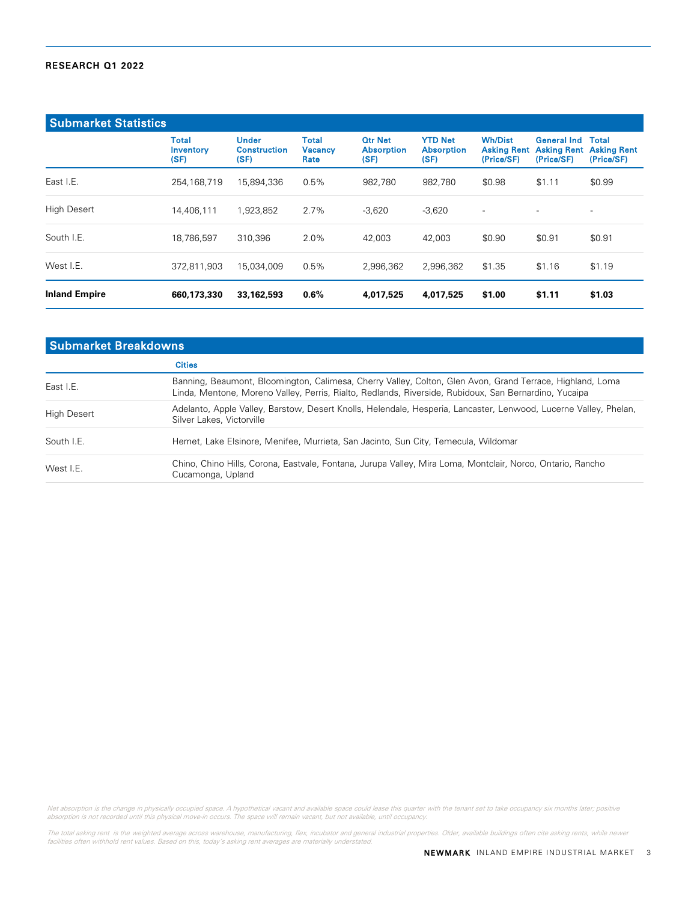#### RESEARCH Q1 2022

| <b>Submarket Statistics</b> |                                   |                                             |                                        |                                             |                                             |                                                    |                                                                    |                            |
|-----------------------------|-----------------------------------|---------------------------------------------|----------------------------------------|---------------------------------------------|---------------------------------------------|----------------------------------------------------|--------------------------------------------------------------------|----------------------------|
|                             | <b>Total</b><br>Inventory<br>(SF) | <b>Under</b><br><b>Construction</b><br>(SF) | <b>Total</b><br><b>Vacancy</b><br>Rate | <b>Qtr Net</b><br><b>Absorption</b><br>(SF) | <b>YTD Net</b><br><b>Absorption</b><br>(SF) | <b>Wh/Dist</b><br><b>Asking Rent</b><br>(Price/SF) | <b>General Ind</b><br><b>Asking Rent Asking Rent</b><br>(Price/SF) | <b>Total</b><br>(Price/SF) |
| East I.E.                   | 254,168,719                       | 15,894,336                                  | 0.5%                                   | 982.780                                     | 982.780                                     | \$0.98                                             | \$1.11                                                             | \$0.99                     |
| <b>High Desert</b>          | 14.406.111                        | 1,923,852                                   | 2.7%                                   | $-3,620$                                    | $-3,620$                                    | $\overline{\phantom{a}}$                           | $\overline{\phantom{a}}$                                           | $\overline{\phantom{0}}$   |
| South I.E.                  | 18,786,597                        | 310,396                                     | 2.0%                                   | 42,003                                      | 42.003                                      | \$0.90                                             | \$0.91                                                             | \$0.91                     |
| West I.E.                   | 372,811,903                       | 15,034,009                                  | 0.5%                                   | 2,996,362                                   | 2,996,362                                   | \$1.35                                             | \$1.16                                                             | \$1.19                     |
| <b>Inland Empire</b>        | 660,173,330                       | 33,162,593                                  | $0.6\%$                                | 4,017,525                                   | 4,017,525                                   | \$1.00                                             | \$1.11                                                             | \$1.03                     |

| <b>Submarket Breakdowns</b>                                                                                      |  |  |  |  |
|------------------------------------------------------------------------------------------------------------------|--|--|--|--|
|                                                                                                                  |  |  |  |  |
| Banning, Beaumont, Bloomington, Calimesa, Cherry Valley, Colton, Glen Avon, Grand Terrace, Highland, Loma        |  |  |  |  |
| Adelanto, Apple Valley, Barstow, Desert Knolls, Helendale, Hesperia, Lancaster, Lenwood, Lucerne Valley, Phelan, |  |  |  |  |
|                                                                                                                  |  |  |  |  |
|                                                                                                                  |  |  |  |  |
|                                                                                                                  |  |  |  |  |

Net absorption is the change in physically occupied space. A hypothetical vacant and available space could lease this quarter with the tenant set to take occupancy six months later; positive<br>absorption is not recorded unti